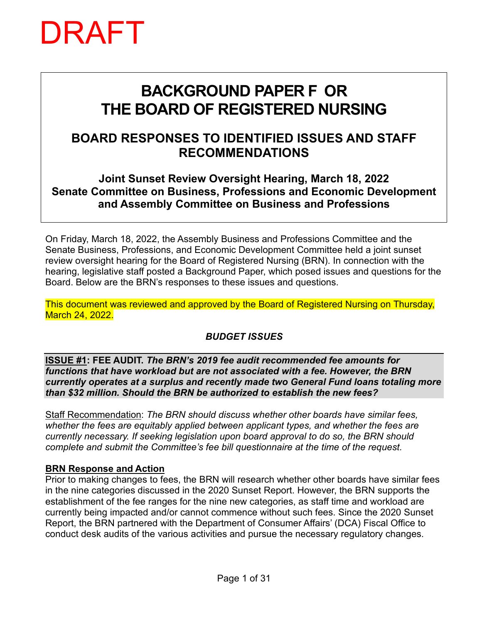# **BACKGROUND PAPER F OR THE BOARD OF REGISTERED NURSING**

# **BOARD RESPONSES TO IDENTIFIED ISSUES AND STAFF RECOMMENDATIONS**

**Joint Sunset Review Oversight Hearing, March 18, 2022 Senate Committee on Business, Professions and Economic Development and Assembly Committee on Business and Professions**

On Friday, March 18, 2022, the Assembly Business and Professions Committee and the Senate Business, Professions, and Economic Development Committee held a joint sunset review oversight hearing for the Board of Registered Nursing (BRN). In connection with the hearing, legislative staff posted a Background Paper, which posed issues and questions for the Board. Below are the BRN's responses to these issues and questions.

This document was reviewed and approved by the Board of Registered Nursing on Thursday, March 24, 2022.

### *BUDGET ISSUES*

**ISSUE #1: FEE AUDIT.** *The BRN's 2019 fee audit recommended fee amounts for functions that have workload but are not associated with a fee. However, the BRN currently operates at a surplus and recently made two General Fund loans totaling more than \$32 million. Should the BRN be authorized to establish the new fees?*

Staff Recommendation: *The BRN should discuss whether other boards have similar fees, whether the fees are equitably applied between applicant types, and whether the fees are currently necessary. If seeking legislation upon board approval to do so, the BRN should complete and submit the Committee's fee bill questionnaire at the time of the request.* 

### **BRN Response and Action**

Prior to making changes to fees, the BRN will research whether other boards have similar fees in the nine categories discussed in the 2020 Sunset Report. However, the BRN supports the establishment of the fee ranges for the nine new categories, as staff time and workload are currently being impacted and/or cannot commence without such fees. Since the 2020 Sunset Report, the BRN partnered with the Department of Consumer Affairs' (DCA) Fiscal Office to conduct desk audits of the various activities and pursue the necessary regulatory changes.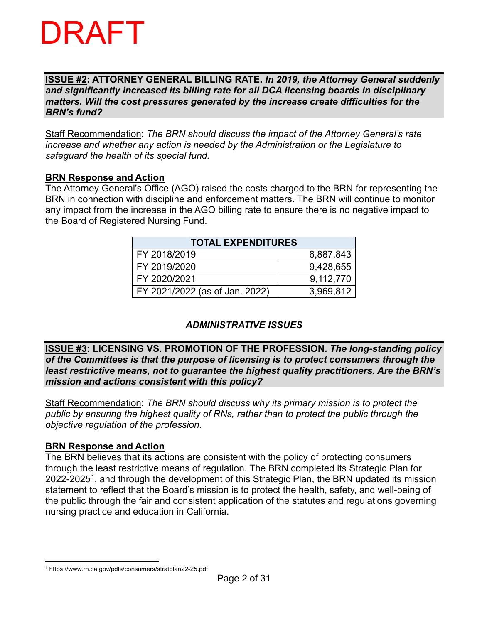#### **ISSUE #2: ATTORNEY GENERAL BILLING RATE.** *In 2019, the Attorney General suddenly and significantly increased its billing rate for all DCA licensing boards in disciplinary matters. Will the cost pressures generated by the increase create difficulties for the BRN's fund?*

Staff Recommendation: *The BRN should discuss the impact of the Attorney General's rate increase and whether any action is needed by the Administration or the Legislature to safeguard the health of its special fund.*

### **BRN Response and Action**

The Attorney General's Office (AGO) raised the costs charged to the BRN for representing the BRN in connection with discipline and enforcement matters. The BRN will continue to monitor any impact from the increase in the AGO billing rate to ensure there is no negative impact to the Board of Registered Nursing Fund.

| <b>TOTAL EXPENDITURES</b>      |           |  |  |
|--------------------------------|-----------|--|--|
| FY 2018/2019                   | 6,887,843 |  |  |
| FY 2019/2020                   | 9,428,655 |  |  |
| FY 2020/2021                   | 9,112,770 |  |  |
| FY 2021/2022 (as of Jan. 2022) | 3,969,812 |  |  |

### *ADMINISTRATIVE ISSUES*

**ISSUE #3: LICENSING VS. PROMOTION OF THE PROFESSION.** *The long-standing policy of the Committees is that the purpose of licensing is to protect consumers through the least restrictive means, not to guarantee the highest quality practitioners. Are the BRN's mission and actions consistent with this policy?*

Staff Recommendation: *The BRN should discuss why its primary mission is to protect the public by ensuring the highest quality of RNs, rather than to protect the public through the objective regulation of the profession.* 

### **BRN Response and Action**

The BRN believes that its actions are consistent with the policy of protecting consumers through the least restrictive means of regulation. The BRN completed its Strategic Plan for 2022-2025<sup>[1](#page-1-0)</sup>, and through the development of this Strategic Plan, the BRN updated its mission statement to reflect that the Board's mission is to protect the health, safety, and well-being of the public through the fair and consistent application of the statutes and regulations governing nursing practice and education in California.

<span id="page-1-0"></span><sup>1</sup> https://www.rn.ca.gov/pdfs/consumers/stratplan22-25.pdf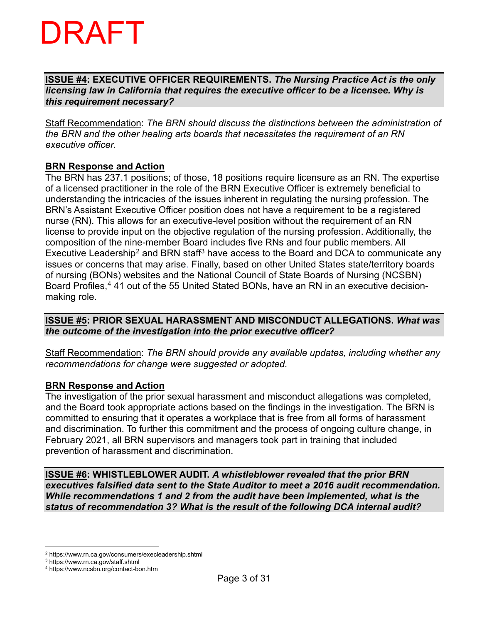#### **ISSUE #4: EXECUTIVE OFFICER REQUIREMENTS.** *The Nursing Practice Act is the only licensing law in California that requires the executive officer to be a licensee. Why is this requirement necessary?*

Staff Recommendation: *The BRN should discuss the distinctions between the administration of the BRN and the other healing arts boards that necessitates the requirement of an RN executive officer.*

#### **BRN Response and Action**

The BRN has 237.1 positions; of those, 18 positions require licensure as an RN. The expertise of a licensed practitioner in the role of the BRN Executive Officer is extremely beneficial to understanding the intricacies of the issues inherent in regulating the nursing profession. The BRN's Assistant Executive Officer position does not have a requirement to be a registered nurse (RN). This allows for an executive-level position without the requirement of an RN license to provide input on the objective regulation of the nursing profession. Additionally, the composition of the nine-member Board includes five RNs and four public members. All Executive Leadership<sup>[2](#page-2-0)</sup> and BRN staff<sup>[3](#page-2-1)</sup> have access to the Board and DCA to communicate any issues or concerns that may arise. Finally, based on other United States state/territory boards of nursing (BONs) websites and the National Council of State Boards of Nursing (NCSBN) Board Profiles, [4](#page-2-2) 41 out of the 55 United Stated BONs, have an RN in an executive decisionmaking role.

**ISSUE #5: PRIOR SEXUAL HARASSMENT AND MISCONDUCT ALLEGATIONS.** *What was the outcome of the investigation into the prior executive officer?*

Staff Recommendation: *The BRN should provide any available updates, including whether any recommendations for change were suggested or adopted.*

### **BRN Response and Action**

The investigation of the prior sexual harassment and misconduct allegations was completed, and the Board took appropriate actions based on the findings in the investigation. The BRN is committed to ensuring that it operates a workplace that is free from all forms of harassment and discrimination. To further this commitment and the process of ongoing culture change, in February 2021, all BRN supervisors and managers took part in training that included prevention of harassment and discrimination.

**ISSUE #6: WHISTLEBLOWER AUDIT.** *A whistleblower revealed that the prior BRN executives falsified data sent to the State Auditor to meet a 2016 audit recommendation. While recommendations 1 and 2 from the audit have been implemented, what is the status of recommendation 3? What is the result of the following DCA internal audit?*

<span id="page-2-0"></span><sup>2</sup> https://www.rn.ca.gov/consumers/execleadership.shtml

<span id="page-2-1"></span><sup>3</sup> https://www.rn.ca.gov/staff.shtml

<span id="page-2-2"></span><sup>4</sup> https://www.ncsbn.org/contact-bon.htm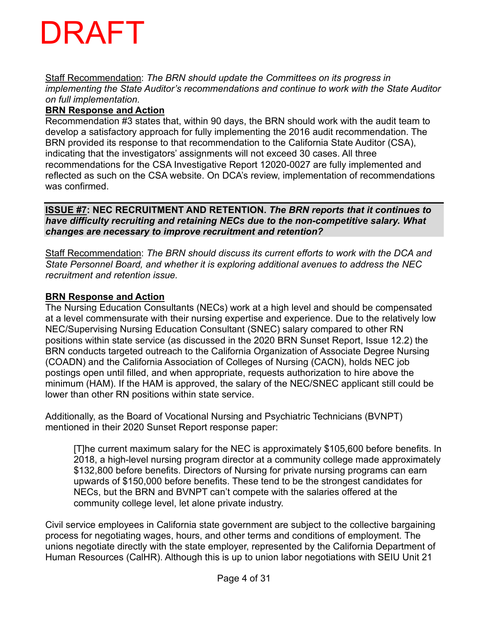Staff Recommendation: *The BRN should update the Committees on its progress in implementing the State Auditor's recommendations and continue to work with the State Auditor on full implementation.*

### **BRN Response and Action**

Recommendation #3 states that, within 90 days, the BRN should work with the audit team to develop a satisfactory approach for fully implementing the 2016 audit recommendation. The BRN provided its response to that recommendation to the California State Auditor (CSA), indicating that the investigators' assignments will not exceed 30 cases. All three recommendations for the CSA Investigative Report 12020-0027 are fully implemented and reflected as such on the CSA website. On DCA's review, implementation of recommendations was confirmed.

**ISSUE #7: NEC RECRUITMENT AND RETENTION.** *The BRN reports that it continues to have difficulty recruiting and retaining NECs due to the non-competitive salary. What changes are necessary to improve recruitment and retention?*

Staff Recommendation: *The BRN should discuss its current efforts to work with the DCA and State Personnel Board, and whether it is exploring additional avenues to address the NEC recruitment and retention issue.*

#### **BRN Response and Action**

The Nursing Education Consultants (NECs) work at a high level and should be compensated at a level commensurate with their nursing expertise and experience. Due to the relatively low NEC/Supervising Nursing Education Consultant (SNEC) salary compared to other RN positions within state service (as discussed in the 2020 BRN Sunset Report, Issue 12.2) the BRN conducts targeted outreach to the California Organization of Associate Degree Nursing (COADN) and the California Association of Colleges of Nursing (CACN), holds NEC job postings open until filled, and when appropriate, requests authorization to hire above the minimum (HAM). If the HAM is approved, the salary of the NEC/SNEC applicant still could be lower than other RN positions within state service.

Additionally, as the Board of Vocational Nursing and Psychiatric Technicians (BVNPT) mentioned in their 2020 Sunset Report response paper:

[T]he current maximum salary for the NEC is approximately \$105,600 before benefits. In 2018, a high-level nursing program director at a community college made approximately \$132,800 before benefits. Directors of Nursing for private nursing programs can earn upwards of \$150,000 before benefits. These tend to be the strongest candidates for NECs, but the BRN and BVNPT can't compete with the salaries offered at the community college level, let alone private industry.

Civil service employees in California state government are subject to the collective bargaining process for negotiating wages, hours, and other terms and conditions of employment. The unions negotiate directly with the state employer, represented by the California Department of Human Resources (CalHR). Although this is up to union labor negotiations with SEIU Unit 21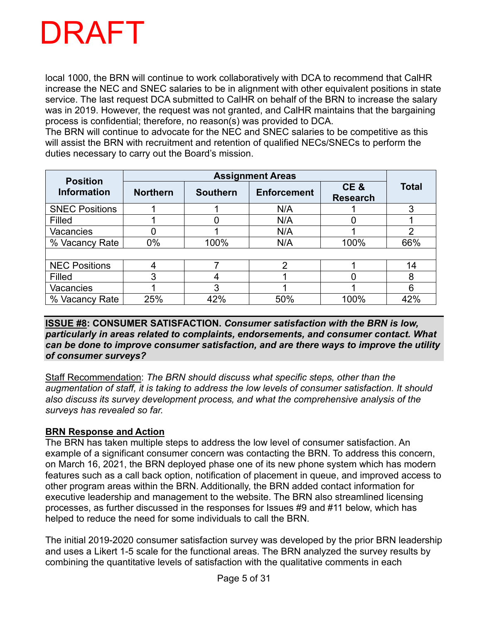

local 1000, the BRN will continue to work collaboratively with DCA to recommend that CalHR increase the NEC and SNEC salaries to be in alignment with other equivalent positions in state service. The last request DCA submitted to CalHR on behalf of the BRN to increase the salary was in 2019. However, the request was not granted, and CalHR maintains that the bargaining process is confidential; therefore, no reason(s) was provided to DCA.

The BRN will continue to advocate for the NEC and SNEC salaries to be competitive as this will assist the BRN with recruitment and retention of qualified NECs/SNECs to perform the duties necessary to carry out the Board's mission.

| <b>Position</b>       | <b>Assignment Areas</b> |                 |                    |                        |                |
|-----------------------|-------------------------|-----------------|--------------------|------------------------|----------------|
| <b>Information</b>    | <b>Northern</b>         | <b>Southern</b> | <b>Enforcement</b> | CE&<br><b>Research</b> | <b>Total</b>   |
| <b>SNEC Positions</b> |                         |                 | N/A                |                        | 3              |
| Filled                |                         |                 | N/A                |                        |                |
| Vacancies             |                         |                 | N/A                |                        | $\overline{2}$ |
| % Vacancy Rate        | 0%                      | 100%            | N/A                | 100%                   | 66%            |
|                       |                         |                 |                    |                        |                |
| <b>NEC Positions</b>  | 4                       |                 | າ                  |                        | 14             |
| Filled                | 3                       |                 |                    |                        | 8              |
| Vacancies             |                         | 3               |                    |                        | 6              |
| % Vacancy Rate        | 25%                     | 42%             | 50%                | 100%                   | 42%            |

**ISSUE #8: CONSUMER SATISFACTION.** *Consumer satisfaction with the BRN is low, particularly in areas related to complaints, endorsements, and consumer contact. What can be done to improve consumer satisfaction, and are there ways to improve the utility of consumer surveys?*

Staff Recommendation: *The BRN should discuss what specific steps, other than the augmentation of staff, it is taking to address the low levels of consumer satisfaction. It should also discuss its survey development process, and what the comprehensive analysis of the surveys has revealed so far.* 

### **BRN Response and Action**

The BRN has taken multiple steps to address the low level of consumer satisfaction. An example of a significant consumer concern was contacting the BRN. To address this concern, on March 16, 2021, the BRN deployed phase one of its new phone system which has modern features such as a call back option, notification of placement in queue, and improved access to other program areas within the BRN. Additionally, the BRN added contact information for executive leadership and management to the website. The BRN also streamlined licensing processes, as further discussed in the responses for Issues #9 and #11 below, which has helped to reduce the need for some individuals to call the BRN.

The initial 2019-2020 consumer satisfaction survey was developed by the prior BRN leadership and uses a Likert 1-5 scale for the functional areas. The BRN analyzed the survey results by combining the quantitative levels of satisfaction with the qualitative comments in each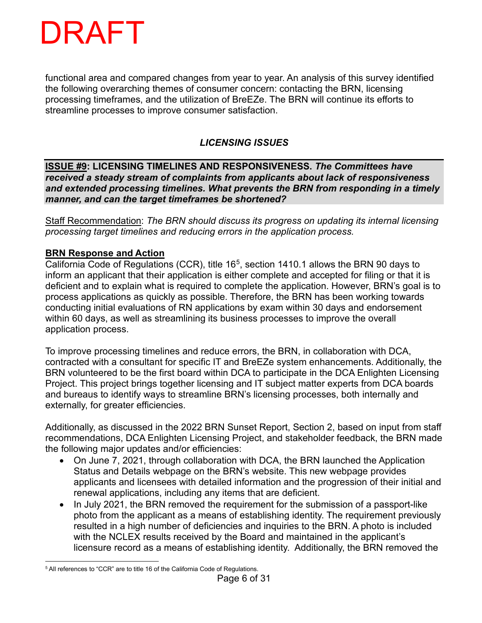functional area and compared changes from year to year. An analysis of this survey identified the following overarching themes of consumer concern: contacting the BRN, licensing processing timeframes, and the utilization of BreEZe. The BRN will continue its efforts to streamline processes to improve consumer satisfaction.

## *LICENSING ISSUES*

**ISSUE #9: LICENSING TIMELINES AND RESPONSIVENESS.** *The Committees have received a steady stream of complaints from applicants about lack of responsiveness and extended processing timelines. What prevents the BRN from responding in a timely manner, and can the target timeframes be shortened?*

Staff Recommendation: *The BRN should discuss its progress on updating its internal licensing processing target timelines and reducing errors in the application process.* 

### **BRN Response and Action**

California Code of Regulations (CCR), title  $16<sup>5</sup>$ , section 1410.1 allows the BRN 90 days to inform an applicant that their application is either complete and accepted for filing or that it is deficient and to explain what is required to complete the application. However, BRN's goal is to process applications as quickly as possible. Therefore, the BRN has been working towards conducting initial evaluations of RN applications by exam within 30 days and endorsement within 60 days, as well as streamlining its business processes to improve the overall application process.

To improve processing timelines and reduce errors, the BRN, in collaboration with DCA, contracted with a consultant for specific IT and BreEZe system enhancements. Additionally, the BRN volunteered to be the first board within DCA to participate in the DCA Enlighten Licensing Project. This project brings together licensing and IT subject matter experts from DCA boards and bureaus to identify ways to streamline BRN's licensing processes, both internally and externally, for greater efficiencies.

Additionally, as discussed in the 2022 BRN Sunset Report, Section 2, based on input from staff recommendations, DCA Enlighten Licensing Project, and stakeholder feedback, the BRN made the following major updates and/or efficiencies:

- On June 7, 2021, through collaboration with DCA, the BRN launched the Application Status and Details webpage on the BRN's website. This new webpage provides applicants and licensees with detailed information and the progression of their initial and renewal applications, including any items that are deficient.
- In July 2021, the BRN removed the requirement for the submission of a passport-like photo from the applicant as a means of establishing identity. The requirement previously resulted in a high number of deficiencies and inquiries to the BRN. A photo is included with the NCLEX results received by the Board and maintained in the applicant's licensure record as a means of establishing identity. Additionally, the BRN removed the

<span id="page-5-0"></span><sup>5</sup> All references to "CCR" are to title 16 of the California Code of Regulations.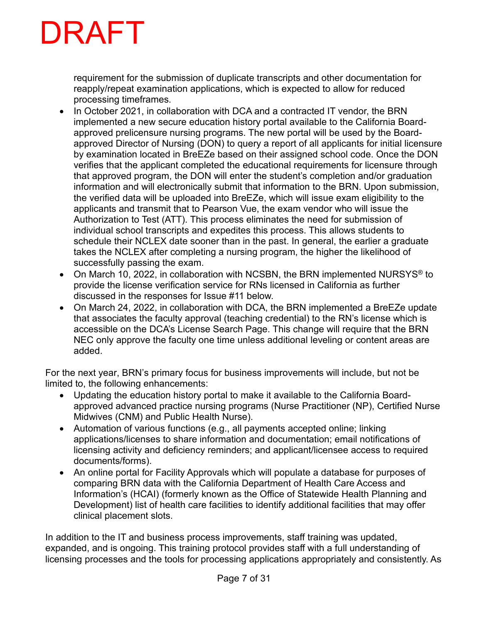requirement for the submission of duplicate transcripts and other documentation for reapply/repeat examination applications, which is expected to allow for reduced processing timeframes.

- In October 2021, in collaboration with DCA and a contracted IT vendor, the BRN implemented a new secure education history portal available to the California Boardapproved prelicensure nursing programs. The new portal will be used by the Boardapproved Director of Nursing (DON) to query a report of all applicants for initial licensure by examination located in BreEZe based on their assigned school code. Once the DON verifies that the applicant completed the educational requirements for licensure through that approved program, the DON will enter the student's completion and/or graduation information and will electronically submit that information to the BRN. Upon submission, the verified data will be uploaded into BreEZe, which will issue exam eligibility to the applicants and transmit that to Pearson Vue, the exam vendor who will issue the Authorization to Test (ATT). This process eliminates the need for submission of individual school transcripts and expedites this process. This allows students to schedule their NCLEX date sooner than in the past. In general, the earlier a graduate takes the NCLEX after completing a nursing program, the higher the likelihood of successfully passing the exam.
- On March 10, 2022, in collaboration with NCSBN, the BRN implemented NURSYS<sup>®</sup> to provide the license verification service for RNs licensed in California as further discussed in the responses for Issue #11 below.
- On March 24, 2022, in collaboration with DCA, the BRN implemented a BreEZe update that associates the faculty approval (teaching credential) to the RN's license which is accessible on the DCA's License Search Page. This change will require that the BRN NEC only approve the faculty one time unless additional leveling or content areas are added.

For the next year, BRN's primary focus for business improvements will include, but not be limited to, the following enhancements:

- Updating the education history portal to make it available to the California Boardapproved advanced practice nursing programs (Nurse Practitioner (NP), Certified Nurse Midwives (CNM) and Public Health Nurse).
- Automation of various functions (e.g., all payments accepted online; linking applications/licenses to share information and documentation; email notifications of licensing activity and deficiency reminders; and applicant/licensee access to required documents/forms).
- An online portal for Facility Approvals which will populate a database for purposes of comparing BRN data with the California Department of Health Care Access and Information's (HCAI) (formerly known as the Office of Statewide Health Planning and Development) list of health care facilities to identify additional facilities that may offer clinical placement slots.

In addition to the IT and business process improvements, staff training was updated, expanded, and is ongoing. This training protocol provides staff with a full understanding of licensing processes and the tools for processing applications appropriately and consistently. As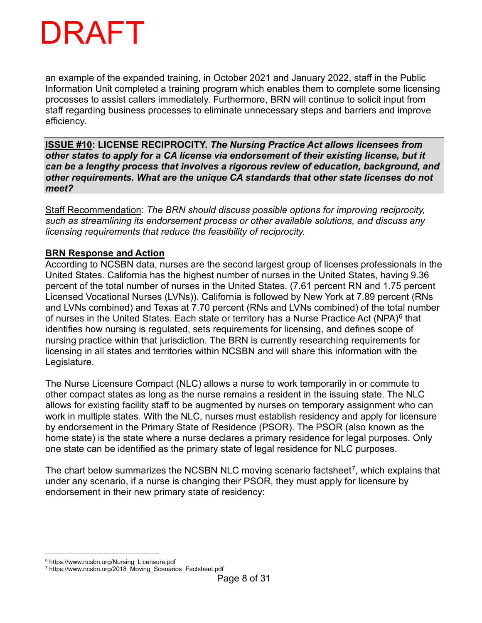an example of the expanded training, in October 2021 and January 2022, staff in the Public Information Unit completed a training program which enables them to complete some licensing processes to assist callers immediately. Furthermore, BRN will continue to solicit input from staff regarding business processes to eliminate unnecessary steps and barriers and improve efficiency.

**ISSUE #10: LICENSE RECIPROCITY.** *The Nursing Practice Act allows licensees from other states to apply for a CA license via endorsement of their existing license, but it can be a lengthy process that involves a rigorous review of education, background, and other requirements. What are the unique CA standards that other state licenses do not meet?*

Staff Recommendation: *The BRN should discuss possible options for improving reciprocity, such as streamlining its endorsement process or other available solutions, and discuss any licensing requirements that reduce the feasibility of reciprocity.* 

### **BRN Response and Action**

According to NCSBN data, nurses are the second largest group of licenses professionals in the United States. California has the highest number of nurses in the United States, having 9.36 percent of the total number of nurses in the United States. (7.61 percent RN and 1.75 percent Licensed Vocational Nurses (LVNs)). California is followed by New York at 7.89 percent (RNs and LVNs combined) and Texas at 7.70 percent (RNs and LVNs combined) of the total number of nurses in the United States. Each state or territory has a Nurse Practice Act (NPA)<sup>[6](#page-7-0)</sup> that identifies how nursing is regulated, sets requirements for licensing, and defines scope of nursing practice within that jurisdiction. The BRN is currently researching requirements for licensing in all states and territories within NCSBN and will share this information with the Legislature.

The Nurse Licensure Compact (NLC) allows a nurse to work temporarily in or commute to other compact states as long as the nurse remains a resident in the issuing state. The NLC allows for existing facility staff to be augmented by nurses on temporary assignment who can work in multiple states. With the NLC, nurses must establish residency and apply for licensure by endorsement in the Primary State of Residence (PSOR). The PSOR (also known as the home state) is the state where a nurse declares a primary residence for legal purposes. Only one state can be identified as the primary state of legal residence for NLC purposes.

The chart below summarizes the NCSBN NLC moving scenario factsheet<sup>[7](#page-7-1)</sup>, which explains that under any scenario, if a nurse is changing their PSOR, they must apply for licensure by endorsement in their new primary state of residency:

<span id="page-7-0"></span><sup>6</sup> https://www.ncsbn.org/Nursing\_Licensure.pdf

<span id="page-7-1"></span><sup>&</sup>lt;sup>7</sup> https://www.ncsbn.org/2018 Moving Scenarios Factsheet.pdf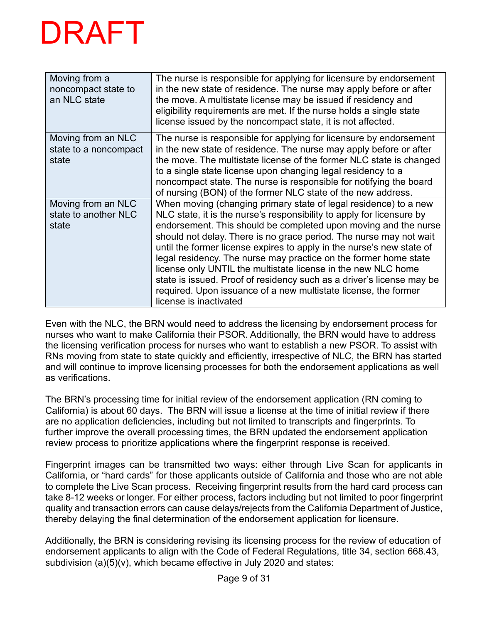| Moving from a<br>noncompact state to<br>an NLC state | The nurse is responsible for applying for licensure by endorsement<br>in the new state of residence. The nurse may apply before or after<br>the move. A multistate license may be issued if residency and<br>eligibility requirements are met. If the nurse holds a single state<br>license issued by the noncompact state, it is not affected.                                                                                                                                                                                                                                                                                                                        |
|------------------------------------------------------|------------------------------------------------------------------------------------------------------------------------------------------------------------------------------------------------------------------------------------------------------------------------------------------------------------------------------------------------------------------------------------------------------------------------------------------------------------------------------------------------------------------------------------------------------------------------------------------------------------------------------------------------------------------------|
| Moving from an NLC<br>state to a noncompact<br>state | The nurse is responsible for applying for licensure by endorsement<br>in the new state of residence. The nurse may apply before or after<br>the move. The multistate license of the former NLC state is changed<br>to a single state license upon changing legal residency to a<br>noncompact state. The nurse is responsible for notifying the board<br>of nursing (BON) of the former NLC state of the new address.                                                                                                                                                                                                                                                  |
| Moving from an NLC<br>state to another NLC<br>state  | When moving (changing primary state of legal residence) to a new<br>NLC state, it is the nurse's responsibility to apply for licensure by<br>endorsement. This should be completed upon moving and the nurse<br>should not delay. There is no grace period. The nurse may not wait<br>until the former license expires to apply in the nurse's new state of<br>legal residency. The nurse may practice on the former home state<br>license only UNTIL the multistate license in the new NLC home<br>state is issued. Proof of residency such as a driver's license may be<br>required. Upon issuance of a new multistate license, the former<br>license is inactivated |

Even with the NLC, the BRN would need to address the licensing by endorsement process for nurses who want to make California their PSOR. Additionally, the BRN would have to address the licensing verification process for nurses who want to establish a new PSOR. To assist with RNs moving from state to state quickly and efficiently, irrespective of NLC, the BRN has started and will continue to improve licensing processes for both the endorsement applications as well as verifications.

The BRN's processing time for initial review of the endorsement application (RN coming to California) is about 60 days. The BRN will issue a license at the time of initial review if there are no application deficiencies, including but not limited to transcripts and fingerprints. To further improve the overall processing times, the BRN updated the endorsement application review process to prioritize applications where the fingerprint response is received.

Fingerprint images can be transmitted two ways: either through Live Scan for applicants in California, or "hard cards" for those applicants outside of California and those who are not able to complete the Live Scan process. Receiving fingerprint results from the hard card process can take 8-12 weeks or longer. For either process, factors including but not limited to poor fingerprint quality and transaction errors can cause delays/rejects from the California Department of Justice, thereby delaying the final determination of the endorsement application for licensure.

Additionally, the BRN is considering revising its licensing process for the review of education of endorsement applicants to align with the Code of Federal Regulations, title 34, section 668.43, subdivision (a)(5)(v), which became effective in July 2020 and states: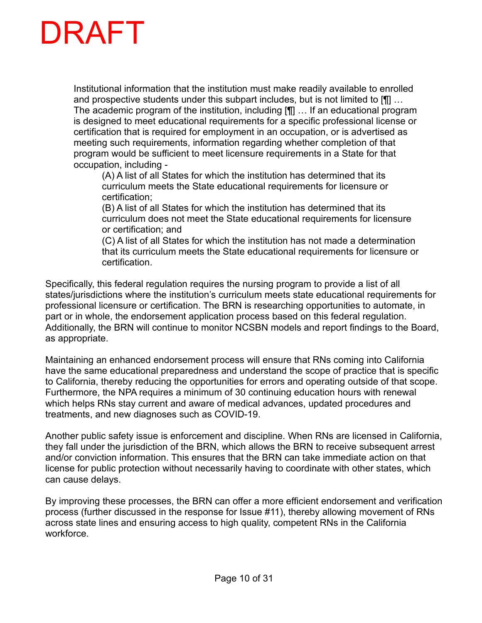Institutional information that the institution must make readily available to enrolled and prospective students under this subpart includes, but is not limited to  $[\P]$ ... The academic program of the institution, including [¶] … If an educational program is designed to meet educational requirements for a specific professional license or certification that is required for employment in an occupation, or is advertised as meeting such requirements, information regarding whether completion of that program would be sufficient to meet licensure requirements in a State for that occupation, including -

(A) A list of all States for which the institution has determined that its curriculum meets the State educational requirements for licensure or certification;

(B) A list of all States for which the institution has determined that its curriculum does not meet the State educational requirements for licensure or certification; and

(C) A list of all States for which the institution has not made a determination that its curriculum meets the State educational requirements for licensure or certification.

Specifically, this federal regulation requires the nursing program to provide a list of all states/jurisdictions where the institution's curriculum meets state educational requirements for professional licensure or certification. The BRN is researching opportunities to automate, in part or in whole, the endorsement application process based on this federal regulation. Additionally, the BRN will continue to monitor NCSBN models and report findings to the Board, as appropriate.

Maintaining an enhanced endorsement process will ensure that RNs coming into California have the same educational preparedness and understand the scope of practice that is specific to California, thereby reducing the opportunities for errors and operating outside of that scope. Furthermore, the NPA requires a minimum of 30 continuing education hours with renewal which helps RNs stay current and aware of medical advances, updated procedures and treatments, and new diagnoses such as COVID-19.

Another public safety issue is enforcement and discipline. When RNs are licensed in California, they fall under the jurisdiction of the BRN, which allows the BRN to receive subsequent arrest and/or conviction information. This ensures that the BRN can take immediate action on that license for public protection without necessarily having to coordinate with other states, which can cause delays.

By improving these processes, the BRN can offer a more efficient endorsement and verification process (further discussed in the response for Issue #11), thereby allowing movement of RNs across state lines and ensuring access to high quality, competent RNs in the California workforce.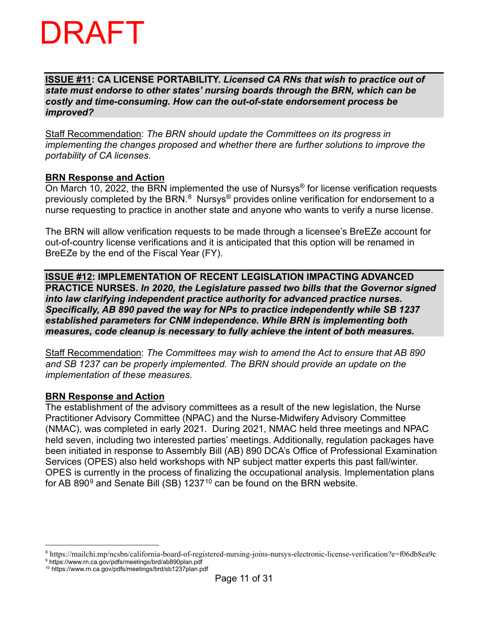#### **ISSUE #11: CA LICENSE PORTABILITY.** *Licensed CA RNs that wish to practice out of state must endorse to other states' nursing boards through the BRN, which can be costly and time-consuming. How can the out-of-state endorsement process be improved?*

Staff Recommendation: *The BRN should update the Committees on its progress in implementing the changes proposed and whether there are further solutions to improve the portability of CA licenses.* 

### **BRN Response and Action**

On March 10, 2022, the BRN implemented the use of Nursys® for license verification requests previously completed by the BRN.<sup>[8](#page-10-0)</sup> Nursys<sup>®</sup> provides online verification for endorsement to a nurse requesting to practice in another state and anyone who wants to verify a nurse license.

The BRN will allow verification requests to be made through a licensee's BreEZe account for out-of-country license verifications and it is anticipated that this option will be renamed in BreEZe by the end of the Fiscal Year (FY).

#### **ISSUE #12: IMPLEMENTATION OF RECENT LEGISLATION IMPACTING ADVANCED PRACTICE NURSES.** *In 2020, the Legislature passed two bills that the Governor signed into law clarifying independent practice authority for advanced practice nurses. Specifically, AB 890 paved the way for NPs to practice independently while SB 1237 established parameters for CNM independence. While BRN is implementing both measures, code cleanup is necessary to fully achieve the intent of both measures.*

Staff Recommendation: *The Committees may wish to amend the Act to ensure that AB 890 and SB 1237 can be properly implemented. The BRN should provide an update on the implementation of these measures.* 

#### **BRN Response and Action**

The establishment of the advisory committees as a result of the new legislation, the Nurse Practitioner Advisory Committee (NPAC) and the Nurse-Midwifery Advisory Committee (NMAC), was completed in early 2021. During 2021, NMAC held three meetings and NPAC held seven, including two interested parties' meetings. Additionally, regulation packages have been initiated in response to Assembly Bill (AB) 890 DCA's Office of Professional Examination Services (OPES) also held workshops with NP subject matter experts this past fall/winter. OPES is currently in the process of finalizing the occupational analysis. Implementation plans for AB 8[9](#page-10-1)0<sup>9</sup> and Senate Bill (SB) 1237<sup>[10](#page-10-2)</sup> can be found on the BRN website.

<span id="page-10-0"></span><sup>8</sup> https://mailchi.mp/ncsbn/california-board-of-registered-nursing-joins-nursys-electronic-license-verification?e=f06db8ea9c

<span id="page-10-1"></span><sup>9</sup> https://www.rn.ca.gov/pdfs/meetings/brd/ab890plan.pdf

<span id="page-10-2"></span><sup>10</sup> https://www.rn.ca.gov/pdfs/meetings/brd/sb1237plan.pdf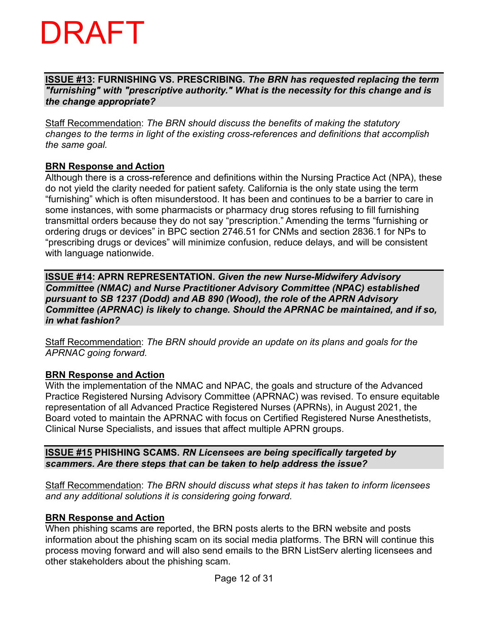#### **ISSUE #13: FURNISHING VS. PRESCRIBING.** *The BRN has requested replacing the term "furnishing" with "prescriptive authority." What is the necessity for this change and is the change appropriate?*

Staff Recommendation: *The BRN should discuss the benefits of making the statutory changes to the terms in light of the existing cross-references and definitions that accomplish the same goal.* 

#### **BRN Response and Action**

Although there is a cross-reference and definitions within the Nursing Practice Act (NPA), these do not yield the clarity needed for patient safety. California is the only state using the term "furnishing" which is often misunderstood. It has been and continues to be a barrier to care in some instances, with some pharmacists or pharmacy drug stores refusing to fill furnishing transmittal orders because they do not say "prescription." Amending the terms "furnishing or ordering drugs or devices" in BPC section 2746.51 for CNMs and section 2836.1 for NPs to "prescribing drugs or devices" will minimize confusion, reduce delays, and will be consistent with language nationwide.

**ISSUE #14: APRN REPRESENTATION.** *Given the new Nurse-Midwifery Advisory Committee (NMAC) and Nurse Practitioner Advisory Committee (NPAC) established pursuant to SB 1237 (Dodd) and AB 890 (Wood), the role of the APRN Advisory Committee (APRNAC) is likely to change. Should the APRNAC be maintained, and if so, in what fashion?* 

Staff Recommendation: *The BRN should provide an update on its plans and goals for the APRNAC going forward.* 

#### **BRN Response and Action**

With the implementation of the NMAC and NPAC, the goals and structure of the Advanced Practice Registered Nursing Advisory Committee (APRNAC) was revised. To ensure equitable representation of all Advanced Practice Registered Nurses (APRNs), in August 2021, the Board voted to maintain the APRNAC with focus on Certified Registered Nurse Anesthetists, Clinical Nurse Specialists, and issues that affect multiple APRN groups.

**ISSUE #15 PHISHING SCAMS.** *RN Licensees are being specifically targeted by scammers. Are there steps that can be taken to help address the issue?*

Staff Recommendation: *The BRN should discuss what steps it has taken to inform licensees and any additional solutions it is considering going forward.* 

### **BRN Response and Action**

When phishing scams are reported, the BRN posts alerts to the BRN website and posts information about the phishing scam on its social media platforms. The BRN will continue this process moving forward and will also send emails to the BRN ListServ alerting licensees and other stakeholders about the phishing scam.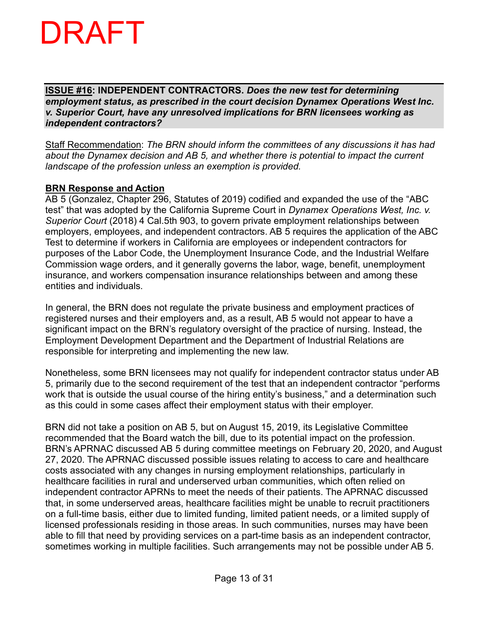**ISSUE #16: INDEPENDENT CONTRACTORS.** *Does the new test for determining employment status, as prescribed in the court decision Dynamex Operations West Inc. v. Superior Court, have any unresolved implications for BRN licensees working as independent contractors?*

Staff Recommendation: *The BRN should inform the committees of any discussions it has had about the Dynamex decision and AB 5, and whether there is potential to impact the current landscape of the profession unless an exemption is provided.*

#### **BRN Response and Action**

AB 5 (Gonzalez, Chapter 296, Statutes of 2019) codified and expanded the use of the "ABC test" that was adopted by the California Supreme Court in *Dynamex Operations West, Inc. v. Superior Court* (2018) 4 Cal.5th 903, to govern private employment relationships between employers, employees, and independent contractors. AB 5 requires the application of the ABC Test to determine if workers in California are employees or independent contractors for purposes of the Labor Code, the Unemployment Insurance Code, and the Industrial Welfare Commission wage orders, and it generally governs the labor, wage, benefit, unemployment insurance, and workers compensation insurance relationships between and among these entities and individuals.

In general, the BRN does not regulate the private business and employment practices of registered nurses and their employers and, as a result, AB 5 would not appear to have a significant impact on the BRN's regulatory oversight of the practice of nursing. Instead, the Employment Development Department and the Department of Industrial Relations are responsible for interpreting and implementing the new law.

Nonetheless, some BRN licensees may not qualify for independent contractor status under AB 5, primarily due to the second requirement of the test that an independent contractor "performs work that is outside the usual course of the hiring entity's business," and a determination such as this could in some cases affect their employment status with their employer.

BRN did not take a position on AB 5, but on August 15, 2019, its Legislative Committee recommended that the Board watch the bill, due to its potential impact on the profession. BRN's APRNAC discussed AB 5 during committee meetings on February 20, 2020, and August 27, 2020. The APRNAC discussed possible issues relating to access to care and healthcare costs associated with any changes in nursing employment relationships, particularly in healthcare facilities in rural and underserved urban communities, which often relied on independent contractor APRNs to meet the needs of their patients. The APRNAC discussed that, in some underserved areas, healthcare facilities might be unable to recruit practitioners on a full-time basis, either due to limited funding, limited patient needs, or a limited supply of licensed professionals residing in those areas. In such communities, nurses may have been able to fill that need by providing services on a part-time basis as an independent contractor, sometimes working in multiple facilities. Such arrangements may not be possible under AB 5.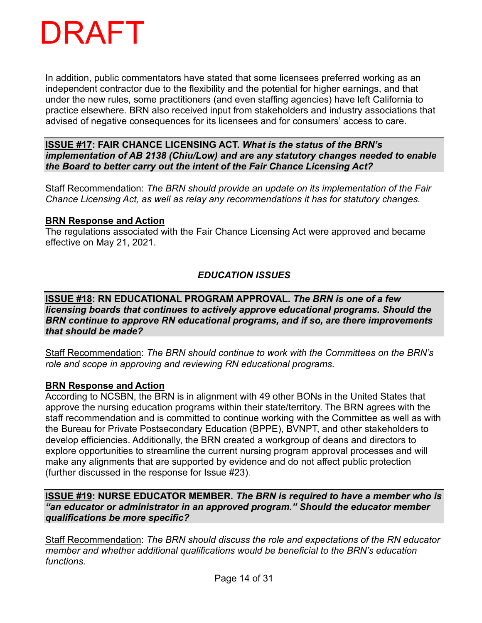

In addition, public commentators have stated that some licensees preferred working as an independent contractor due to the flexibility and the potential for higher earnings, and that under the new rules, some practitioners (and even staffing agencies) have left California to practice elsewhere. BRN also received input from stakeholders and industry associations that advised of negative consequences for its licensees and for consumers' access to care.

**ISSUE #17: FAIR CHANCE LICENSING ACT.** *What is the status of the BRN's implementation of AB 2138 (Chiu/Low) and are any statutory changes needed to enable the Board to better carry out the intent of the Fair Chance Licensing Act?*

Staff Recommendation: *The BRN should provide an update on its implementation of the Fair Chance Licensing Act, as well as relay any recommendations it has for statutory changes.*

#### **BRN Response and Action**

The regulations associated with the Fair Chance Licensing Act were approved and became effective on May 21, 2021.

#### *EDUCATION ISSUES*

**ISSUE #18: RN EDUCATIONAL PROGRAM APPROVAL.** *The BRN is one of a few licensing boards that continues to actively approve educational programs. Should the BRN continue to approve RN educational programs, and if so, are there improvements that should be made?*

Staff Recommendation: *The BRN should continue to work with the Committees on the BRN's role and scope in approving and reviewing RN educational programs.*

#### **BRN Response and Action**

According to NCSBN, the BRN is in alignment with 49 other BONs in the United States that approve the nursing education programs within their state/territory. The BRN agrees with the staff recommendation and is committed to continue working with the Committee as well as with the Bureau for Private Postsecondary Education (BPPE), BVNPT, and other stakeholders to develop efficiencies. Additionally, the BRN created a workgroup of deans and directors to explore opportunities to streamline the current nursing program approval processes and will make any alignments that are supported by evidence and do not affect public protection (further discussed in the response for Issue #23).

#### **ISSUE #19: NURSE EDUCATOR MEMBER.** *The BRN is required to have a member who is "an educator or administrator in an approved program." Should the educator member qualifications be more specific?*

Staff Recommendation: *The BRN should discuss the role and expectations of the RN educator member and whether additional qualifications would be beneficial to the BRN's education functions.*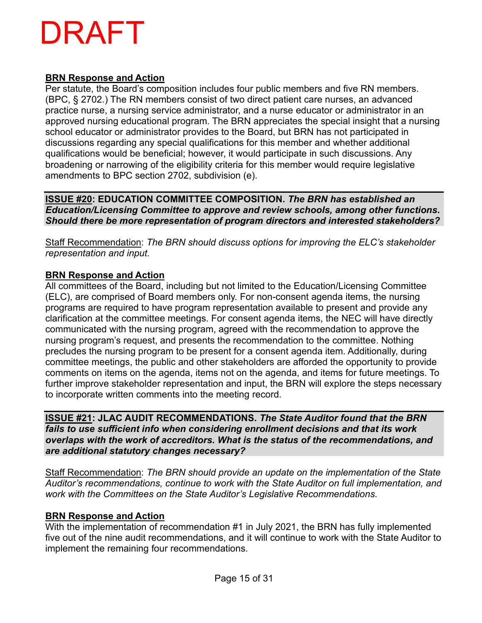### **BRN Response and Action**

Per statute, the Board's composition includes four public members and five RN members. (BPC, § 2702.) The RN members consist of two direct patient care nurses, an advanced practice nurse, a nursing service administrator, and a nurse educator or administrator in an approved nursing educational program. The BRN appreciates the special insight that a nursing school educator or administrator provides to the Board, but BRN has not participated in discussions regarding any special qualifications for this member and whether additional qualifications would be beneficial; however, it would participate in such discussions. Any broadening or narrowing of the eligibility criteria for this member would require legislative amendments to BPC section 2702, subdivision (e).

**ISSUE #20: EDUCATION COMMITTEE COMPOSITION.** *The BRN has established an Education/Licensing Committee to approve and review schools, among other functions. Should there be more representation of program directors and interested stakeholders?*

Staff Recommendation: *The BRN should discuss options for improving the ELC's stakeholder representation and input.*

### **BRN Response and Action**

All committees of the Board, including but not limited to the Education/Licensing Committee (ELC), are comprised of Board members only. For non-consent agenda items, the nursing programs are required to have program representation available to present and provide any clarification at the committee meetings. For consent agenda items, the NEC will have directly communicated with the nursing program, agreed with the recommendation to approve the nursing program's request, and presents the recommendation to the committee. Nothing precludes the nursing program to be present for a consent agenda item. Additionally, during committee meetings, the public and other stakeholders are afforded the opportunity to provide comments on items on the agenda, items not on the agenda, and items for future meetings. To further improve stakeholder representation and input, the BRN will explore the steps necessary to incorporate written comments into the meeting record.

**ISSUE #21: JLAC AUDIT RECOMMENDATIONS.** *The State Auditor found that the BRN fails to use sufficient info when considering enrollment decisions and that its work overlaps with the work of accreditors. What is the status of the recommendations, and are additional statutory changes necessary?* 

Staff Recommendation: *The BRN should provide an update on the implementation of the State Auditor's recommendations, continue to work with the State Auditor on full implementation, and work with the Committees on the State Auditor's Legislative Recommendations.* 

### **BRN Response and Action**

With the implementation of recommendation #1 in July 2021, the BRN has fully implemented five out of the nine audit recommendations, and it will continue to work with the State Auditor to implement the remaining four recommendations.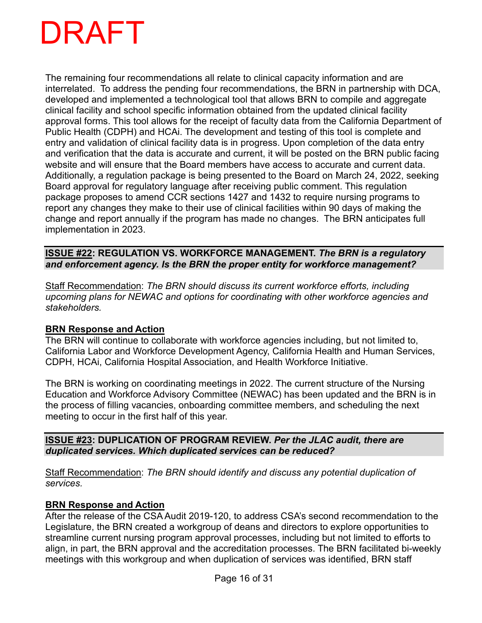The remaining four recommendations all relate to clinical capacity information and are interrelated. To address the pending four recommendations, the BRN in partnership with DCA, developed and implemented a technological tool that allows BRN to compile and aggregate clinical facility and school specific information obtained from the updated clinical facility approval forms. This tool allows for the receipt of faculty data from the California Department of Public Health (CDPH) and HCAi. The development and testing of this tool is complete and entry and validation of clinical facility data is in progress. Upon completion of the data entry and verification that the data is accurate and current, it will be posted on the BRN public facing website and will ensure that the Board members have access to accurate and current data. Additionally, a regulation package is being presented to the Board on March 24, 2022, seeking Board approval for regulatory language after receiving public comment. This regulation package proposes to amend CCR sections 1427 and 1432 to require nursing programs to report any changes they make to their use of clinical facilities within 90 days of making the change and report annually if the program has made no changes. The BRN anticipates full implementation in 2023.

#### **ISSUE #22: REGULATION VS. WORKFORCE MANAGEMENT.** *The BRN is a regulatory and enforcement agency. Is the BRN the proper entity for workforce management?*

Staff Recommendation: *The BRN should discuss its current workforce efforts, including upcoming plans for NEWAC and options for coordinating with other workforce agencies and stakeholders.* 

### **BRN Response and Action**

The BRN will continue to collaborate with workforce agencies including, but not limited to, California Labor and Workforce Development Agency, California Health and Human Services, CDPH, HCAi, California Hospital Association, and Health Workforce Initiative.

The BRN is working on coordinating meetings in 2022. The current structure of the Nursing Education and Workforce Advisory Committee (NEWAC) has been updated and the BRN is in the process of filling vacancies, onboarding committee members, and scheduling the next meeting to occur in the first half of this year.

**ISSUE #23: DUPLICATION OF PROGRAM REVIEW.** *Per the JLAC audit, there are duplicated services. Which duplicated services can be reduced?*

Staff Recommendation: *The BRN should identify and discuss any potential duplication of services.* 

### **BRN Response and Action**

After the release of the CSA Audit 2019-120, to address CSA's second recommendation to the Legislature, the BRN created a workgroup of deans and directors to explore opportunities to streamline current nursing program approval processes, including but not limited to efforts to align, in part, the BRN approval and the accreditation processes. The BRN facilitated bi-weekly meetings with this workgroup and when duplication of services was identified, BRN staff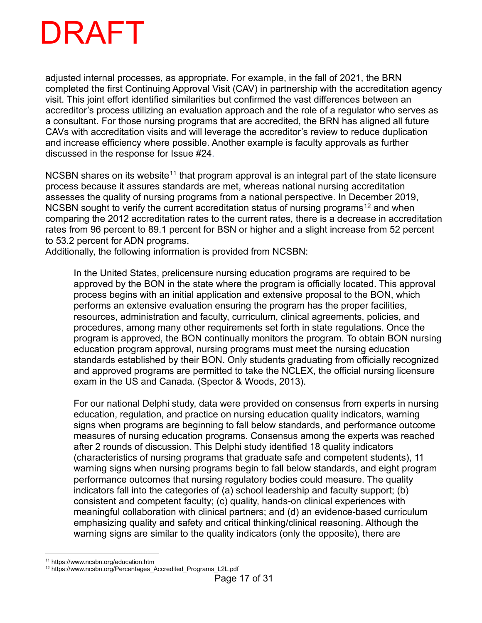adjusted internal processes, as appropriate. For example, in the fall of 2021, the BRN completed the first Continuing Approval Visit (CAV) in partnership with the accreditation agency visit. This joint effort identified similarities but confirmed the vast differences between an accreditor's process utilizing an evaluation approach and the role of a regulator who serves as a consultant. For those nursing programs that are accredited, the BRN has aligned all future CAVs with accreditation visits and will leverage the accreditor's review to reduce duplication and increase efficiency where possible. Another example is faculty approvals as further discussed in the response for Issue #24.

NCSBN shares on its website<sup>[11](#page-16-0)</sup> that program approval is an integral part of the state licensure process because it assures standards are met, whereas national nursing accreditation assesses the quality of nursing programs from a national perspective. In December 2019, NCSBN sought to verify the current accreditation status of nursing programs<sup>[12](#page-16-1)</sup> and when comparing the 2012 accreditation rates to the current rates, there is a decrease in accreditation rates from 96 percent to 89.1 percent for BSN or higher and a slight increase from 52 percent to 53.2 percent for ADN programs.

Additionally, the following information is provided from NCSBN:

In the United States, prelicensure nursing education programs are required to be approved by the BON in the state where the program is officially located. This approval process begins with an initial application and extensive proposal to the BON, which performs an extensive evaluation ensuring the program has the proper facilities, resources, administration and faculty, curriculum, clinical agreements, policies, and procedures, among many other requirements set forth in state regulations. Once the program is approved, the BON continually monitors the program. To obtain BON nursing education program approval, nursing programs must meet the nursing education standards established by their BON. Only students graduating from officially recognized and approved programs are permitted to take the NCLEX, the official nursing licensure exam in the US and Canada. (Spector & Woods, 2013).

For our national Delphi study, data were provided on consensus from experts in nursing education, regulation, and practice on nursing education quality indicators, warning signs when programs are beginning to fall below standards, and performance outcome measures of nursing education programs. Consensus among the experts was reached after 2 rounds of discussion. This Delphi study identified 18 quality indicators (characteristics of nursing programs that graduate safe and competent students), 11 warning signs when nursing programs begin to fall below standards, and eight program performance outcomes that nursing regulatory bodies could measure. The quality indicators fall into the categories of (a) school leadership and faculty support; (b) consistent and competent faculty; (c) quality, hands-on clinical experiences with meaningful collaboration with clinical partners; and (d) an evidence-based curriculum emphasizing quality and safety and critical thinking/clinical reasoning. Although the warning signs are similar to the quality indicators (only the opposite), there are

<sup>11</sup> https://www.ncsbn.org/education.htm

<span id="page-16-1"></span><span id="page-16-0"></span><sup>&</sup>lt;sup>12</sup> https://www.ncsbn.org/Percentages\_Accredited\_Programs\_L2L.pdf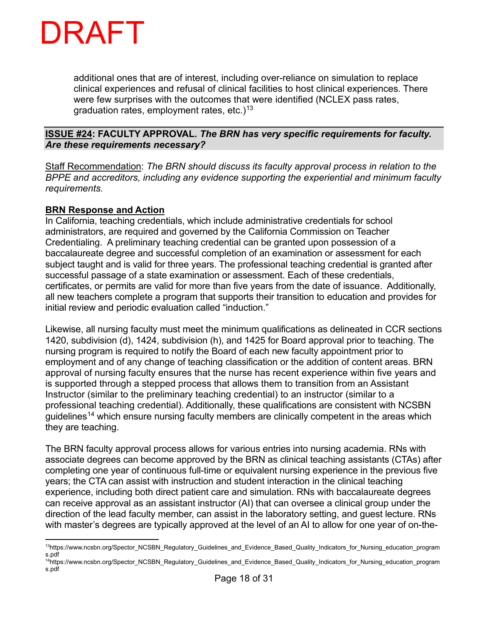

additional ones that are of interest, including over-reliance on simulation to replace clinical experiences and refusal of clinical facilities to host clinical experiences. There were few surprises with the outcomes that were identified (NCLEX pass rates, graduation rates, employment rates, etc.) $13$ 

#### **ISSUE #24: FACULTY APPROVAL.** *The BRN has very specific requirements for faculty. Are these requirements necessary?*

Staff Recommendation: *The BRN should discuss its faculty approval process in relation to the BPPE and accreditors, including any evidence supporting the experiential and minimum faculty requirements.* 

#### **BRN Response and Action**

In California, teaching credentials, which include administrative credentials for school administrators, are required and governed by the California Commission on Teacher Credentialing. A preliminary teaching credential can be granted upon possession of a baccalaureate degree and successful completion of an examination or assessment for each subject taught and is valid for three years. The professional teaching credential is granted after successful passage of a state examination or assessment. Each of these credentials, certificates, or permits are valid for more than five years from the date of issuance. Additionally, all new teachers complete a program that supports their transition to education and provides for initial review and periodic evaluation called "induction."

Likewise, all nursing faculty must meet the minimum qualifications as delineated in CCR sections 1420, subdivision (d), 1424, subdivision (h), and 1425 for Board approval prior to teaching. The nursing program is required to notify the Board of each new faculty appointment prior to employment and of any change of teaching classification or the addition of content areas. BRN approval of nursing faculty ensures that the nurse has recent experience within five years and is supported through a stepped process that allows them to transition from an Assistant Instructor (similar to the preliminary teaching credential) to an instructor (similar to a professional teaching credential). Additionally, these qualifications are consistent with NCSBN guidelines<sup>[14](#page-17-1)</sup> which ensure nursing faculty members are clinically competent in the areas which they are teaching.

The BRN faculty approval process allows for various entries into nursing academia. RNs with associate degrees can become approved by the BRN as clinical teaching assistants (CTAs) after completing one year of continuous full-time or equivalent nursing experience in the previous five years; the CTA can assist with instruction and student interaction in the clinical teaching experience, including both direct patient care and simulation. RNs with baccalaureate degrees can receive approval as an assistant instructor (AI) that can oversee a clinical group under the direction of the lead faculty member, can assist in the laboratory setting, and guest lecture. RNs with master's degrees are typically approved at the level of an AI to allow for one year of on-the-

<span id="page-17-0"></span><sup>13</sup>https://www.ncsbn.org/Spector\_NCSBN\_Regulatory\_Guidelines\_and\_Evidence\_Based\_Quality\_Indicators\_for\_Nursing\_education\_program s.pdf

<span id="page-17-1"></span><sup>14</sup>https://www.ncsbn.org/Spector\_NCSBN\_Regulatory\_Guidelines\_and\_Evidence\_Based\_Quality\_Indicators\_for\_Nursing\_education\_program s.pdf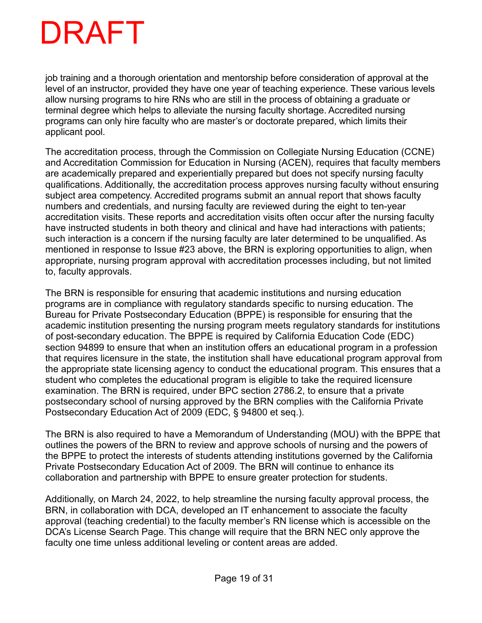job training and a thorough orientation and mentorship before consideration of approval at the level of an instructor, provided they have one year of teaching experience. These various levels allow nursing programs to hire RNs who are still in the process of obtaining a graduate or terminal degree which helps to alleviate the nursing faculty shortage. Accredited nursing programs can only hire faculty who are master's or doctorate prepared, which limits their applicant pool.

The accreditation process, through the Commission on Collegiate Nursing Education (CCNE) and Accreditation Commission for Education in Nursing (ACEN), requires that faculty members are academically prepared and experientially prepared but does not specify nursing faculty qualifications. Additionally, the accreditation process approves nursing faculty without ensuring subject area competency. Accredited programs submit an annual report that shows faculty numbers and credentials, and nursing faculty are reviewed during the eight to ten-year accreditation visits. These reports and accreditation visits often occur after the nursing faculty have instructed students in both theory and clinical and have had interactions with patients; such interaction is a concern if the nursing faculty are later determined to be unqualified. As mentioned in response to Issue #23 above, the BRN is exploring opportunities to align, when appropriate, nursing program approval with accreditation processes including, but not limited to, faculty approvals.

The BRN is responsible for ensuring that academic institutions and nursing education programs are in compliance with regulatory standards specific to nursing education. The Bureau for Private Postsecondary Education (BPPE) is responsible for ensuring that the academic institution presenting the nursing program meets regulatory standards for institutions of post-secondary education. The BPPE is required by California Education Code (EDC) section 94899 to ensure that when an institution offers an educational program in a profession that requires licensure in the state, the institution shall have educational program approval from the appropriate state licensing agency to conduct the educational program. This ensures that a student who completes the educational program is eligible to take the required licensure examination. The BRN is required, under BPC section 2786.2, to ensure that a private postsecondary school of nursing approved by the BRN complies with the California Private Postsecondary Education Act of 2009 (EDC, § 94800 et seq.).

The BRN is also required to have a Memorandum of Understanding (MOU) with the BPPE that outlines the powers of the BRN to review and approve schools of nursing and the powers of the BPPE to protect the interests of students attending institutions governed by the California Private Postsecondary Education Act of 2009. The BRN will continue to enhance its collaboration and partnership with BPPE to ensure greater protection for students.

Additionally, on March 24, 2022, to help streamline the nursing faculty approval process, the BRN, in collaboration with DCA, developed an IT enhancement to associate the faculty approval (teaching credential) to the faculty member's RN license which is accessible on the DCA's License Search Page. This change will require that the BRN NEC only approve the faculty one time unless additional leveling or content areas are added.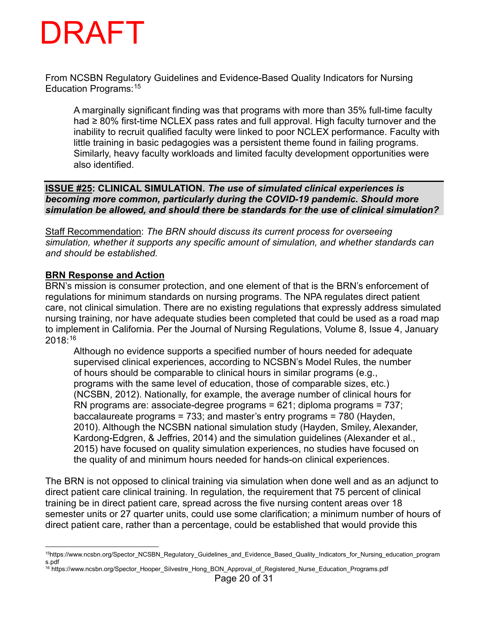From NCSBN Regulatory Guidelines and Evidence-Based Quality Indicators for Nursing Education Programs: [15](#page-19-0)

A marginally significant finding was that programs with more than 35% full-time faculty had ≥ 80% first-time NCLEX pass rates and full approval. High faculty turnover and the inability to recruit qualified faculty were linked to poor NCLEX performance. Faculty with little training in basic pedagogies was a persistent theme found in failing programs. Similarly, heavy faculty workloads and limited faculty development opportunities were also identified.

#### **ISSUE #25: CLINICAL SIMULATION.** *The use of simulated clinical experiences is becoming more common, particularly during the COVID-19 pandemic. Should more simulation be allowed, and should there be standards for the use of clinical simulation?*

Staff Recommendation: *The BRN should discuss its current process for overseeing simulation, whether it supports any specific amount of simulation, and whether standards can and should be established.*

### **BRN Response and Action**

BRN's mission is consumer protection, and one element of that is the BRN's enforcement of regulations for minimum standards on nursing programs. The NPA regulates direct patient care, not clinical simulation. There are no existing regulations that expressly address simulated nursing training, nor have adequate studies been completed that could be used as a road map to implement in California. Per the Journal of Nursing Regulations, Volume 8, Issue 4, January 2018: [16](#page-19-1)

Although no evidence supports a specified number of hours needed for adequate supervised clinical experiences, according to NCSBN's Model Rules, the number of hours should be comparable to clinical hours in similar programs (e.g., programs with the same level of education, those of comparable sizes, etc.) (NCSBN, 2012). Nationally, for example, the average number of clinical hours for RN programs are: associate-degree programs = 621; diploma programs = 737; baccalaureate programs = 733; and master's entry programs = 780 (Hayden, 2010). Although the NCSBN national simulation study (Hayden, Smiley, Alexander, Kardong-Edgren, & Jeffries, 2014) and the simulation guidelines (Alexander et al., 2015) have focused on quality simulation experiences, no studies have focused on the quality of and minimum hours needed for hands-on clinical experiences.

The BRN is not opposed to clinical training via simulation when done well and as an adjunct to direct patient care clinical training. In regulation, the requirement that 75 percent of clinical training be in direct patient care, spread across the five nursing content areas over 18 semester units or 27 quarter units, could use some clarification; a minimum number of hours of direct patient care, rather than a percentage, could be established that would provide this

<span id="page-19-1"></span>Page 20 of 31 <sup>16</sup> https://www.ncsbn.org/Spector\_Hooper\_Silvestre\_Hong\_BON\_Approval\_of\_Registered\_Nurse\_Education\_Programs.pdf

<span id="page-19-0"></span><sup>15</sup>https://www.ncsbn.org/Spector\_NCSBN\_Regulatory\_Guidelines\_and\_Evidence\_Based\_Quality\_Indicators\_for\_Nursing\_education\_program s.pdf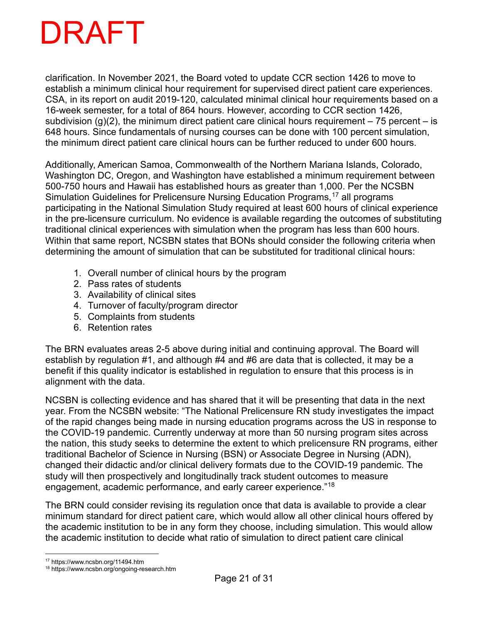clarification. In November 2021, the Board voted to update CCR section 1426 to move to establish a minimum clinical hour requirement for supervised direct patient care experiences. CSA, in its report on audit 2019-120, calculated minimal clinical hour requirements based on a 16-week semester, for a total of 864 hours. However, according to CCR section 1426, subdivision (g)(2), the minimum direct patient care clinical hours requirement  $-75$  percent  $-$  is 648 hours. Since fundamentals of nursing courses can be done with 100 percent simulation, the minimum direct patient care clinical hours can be further reduced to under 600 hours.

Additionally, American Samoa, Commonwealth of the Northern Mariana Islands, Colorado, Washington DC, Oregon, and Washington have established a minimum requirement between 500-750 hours and Hawaii has established hours as greater than 1,000. Per the NCSBN Simulation Guidelines for Prelicensure Nursing Education Programs,<sup>[17](#page-20-0)</sup> all programs participating in the National Simulation Study required at least 600 hours of clinical experience in the pre-licensure curriculum. No evidence is available regarding the outcomes of substituting traditional clinical experiences with simulation when the program has less than 600 hours. Within that same report, NCSBN states that BONs should consider the following criteria when determining the amount of simulation that can be substituted for traditional clinical hours:

- 1. Overall number of clinical hours by the program
- 2. Pass rates of students
- 3. Availability of clinical sites
- 4. Turnover of faculty/program director
- 5. Complaints from students
- 6. Retention rates

The BRN evaluates areas 2-5 above during initial and continuing approval. The Board will establish by regulation #1, and although #4 and #6 are data that is collected, it may be a benefit if this quality indicator is established in regulation to ensure that this process is in alignment with the data.

NCSBN is collecting evidence and has shared that it will be presenting that data in the next year. From the NCSBN website: "The National Prelicensure RN study investigates the impact of the rapid changes being made in nursing education programs across the US in response to the COVID-19 pandemic. Currently underway at more than 50 nursing program sites across the nation, this study seeks to determine the extent to which prelicensure RN programs, either traditional Bachelor of Science in Nursing (BSN) or Associate Degree in Nursing (ADN), changed their didactic and/or clinical delivery formats due to the COVID-19 pandemic. The study will then prospectively and longitudinally track student outcomes to measure engagement, academic performance, and early career experience.["18](#page-20-1)

The BRN could consider revising its regulation once that data is available to provide a clear minimum standard for direct patient care, which would allow all other clinical hours offered by the academic institution to be in any form they choose, including simulation. This would allow the academic institution to decide what ratio of simulation to direct patient care clinical

<span id="page-20-0"></span><sup>17</sup> https://www.ncsbn.org/11494.htm

<span id="page-20-1"></span><sup>18</sup> https://www.ncsbn.org/ongoing-research.htm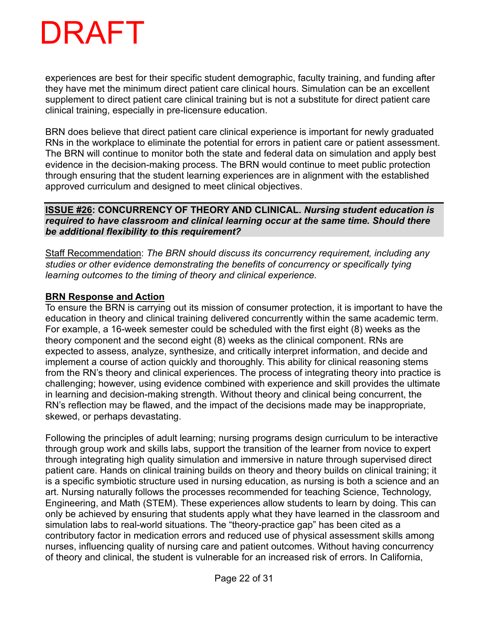experiences are best for their specific student demographic, faculty training, and funding after they have met the minimum direct patient care clinical hours. Simulation can be an excellent supplement to direct patient care clinical training but is not a substitute for direct patient care clinical training, especially in pre-licensure education.

BRN does believe that direct patient care clinical experience is important for newly graduated RNs in the workplace to eliminate the potential for errors in patient care or patient assessment. The BRN will continue to monitor both the state and federal data on simulation and apply best evidence in the decision-making process. The BRN would continue to meet public protection through ensuring that the student learning experiences are in alignment with the established approved curriculum and designed to meet clinical objectives.

#### **ISSUE #26: CONCURRENCY OF THEORY AND CLINICAL.** *Nursing student education is required to have classroom and clinical learning occur at the same time. Should there be additional flexibility to this requirement?*

Staff Recommendation: *The BRN should discuss its concurrency requirement, including any studies or other evidence demonstrating the benefits of concurrency or specifically tying learning outcomes to the timing of theory and clinical experience.*

#### **BRN Response and Action**

To ensure the BRN is carrying out its mission of consumer protection, it is important to have the education in theory and clinical training delivered concurrently within the same academic term. For example, a 16-week semester could be scheduled with the first eight (8) weeks as the theory component and the second eight (8) weeks as the clinical component. RNs are expected to assess, analyze, synthesize, and critically interpret information, and decide and implement a course of action quickly and thoroughly. This ability for clinical reasoning stems from the RN's theory and clinical experiences. The process of integrating theory into practice is challenging; however, using evidence combined with experience and skill provides the ultimate in learning and decision-making strength. Without theory and clinical being concurrent, the RN's reflection may be flawed, and the impact of the decisions made may be inappropriate, skewed, or perhaps devastating.

Following the principles of adult learning; nursing programs design curriculum to be interactive through group work and skills labs, support the transition of the learner from novice to expert through integrating high quality simulation and immersive in nature through supervised direct patient care. Hands on clinical training builds on theory and theory builds on clinical training; it is a specific symbiotic structure used in nursing education, as nursing is both a science and an art. Nursing naturally follows the processes recommended for teaching Science, Technology, Engineering, and Math (STEM). These experiences allow students to learn by doing. This can only be achieved by ensuring that students apply what they have learned in the classroom and simulation labs to real-world situations. The "theory-practice gap" has been cited as a contributory factor in medication errors and reduced use of physical assessment skills among nurses, influencing quality of nursing care and patient outcomes. Without having concurrency of theory and clinical, the student is vulnerable for an increased risk of errors. In California,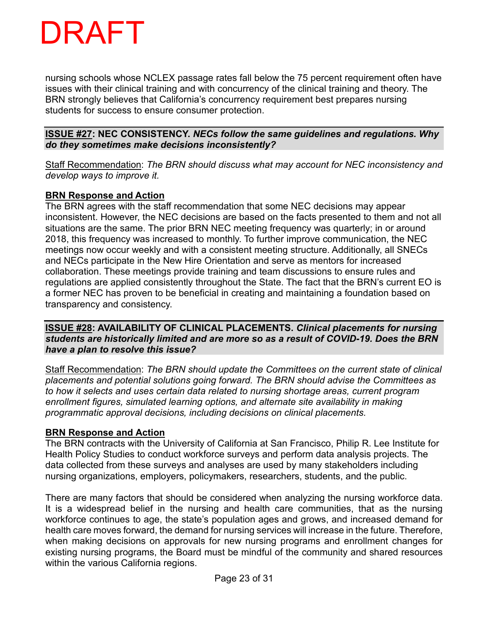nursing schools whose NCLEX passage rates fall below the 75 percent requirement often have issues with their clinical training and with concurrency of the clinical training and theory. The BRN strongly believes that California's concurrency requirement best prepares nursing students for success to ensure consumer protection.

**ISSUE #27: NEC CONSISTENCY.** *NECs follow the same guidelines and regulations. Why do they sometimes make decisions inconsistently?*

Staff Recommendation: *The BRN should discuss what may account for NEC inconsistency and develop ways to improve it.* 

#### **BRN Response and Action**

The BRN agrees with the staff recommendation that some NEC decisions may appear inconsistent. However, the NEC decisions are based on the facts presented to them and not all situations are the same. The prior BRN NEC meeting frequency was quarterly; in or around 2018, this frequency was increased to monthly. To further improve communication, the NEC meetings now occur weekly and with a consistent meeting structure. Additionally, all SNECs and NECs participate in the New Hire Orientation and serve as mentors for increased collaboration. These meetings provide training and team discussions to ensure rules and regulations are applied consistently throughout the State. The fact that the BRN's current EO is a former NEC has proven to be beneficial in creating and maintaining a foundation based on transparency and consistency.

#### **ISSUE #28: AVAILABILITY OF CLINICAL PLACEMENTS.** *Clinical placements for nursing students are historically limited and are more so as a result of COVID-19. Does the BRN have a plan to resolve this issue?*

Staff Recommendation: *The BRN should update the Committees on the current state of clinical placements and potential solutions going forward. The BRN should advise the Committees as to how it selects and uses certain data related to nursing shortage areas, current program enrollment figures, simulated learning options, and alternate site availability in making programmatic approval decisions, including decisions on clinical placements.*

### **BRN Response and Action**

The BRN contracts with the University of California at San Francisco, Philip R. Lee Institute for Health Policy Studies to conduct workforce surveys and perform data analysis projects. The data collected from these surveys and analyses are used by many stakeholders including nursing organizations, employers, policymakers, researchers, students, and the public.

There are many factors that should be considered when analyzing the nursing workforce data. It is a widespread belief in the nursing and health care communities, that as the nursing workforce continues to age, the state's population ages and grows, and increased demand for health care moves forward, the demand for nursing services will increase in the future. Therefore, when making decisions on approvals for new nursing programs and enrollment changes for existing nursing programs, the Board must be mindful of the community and shared resources within the various California regions.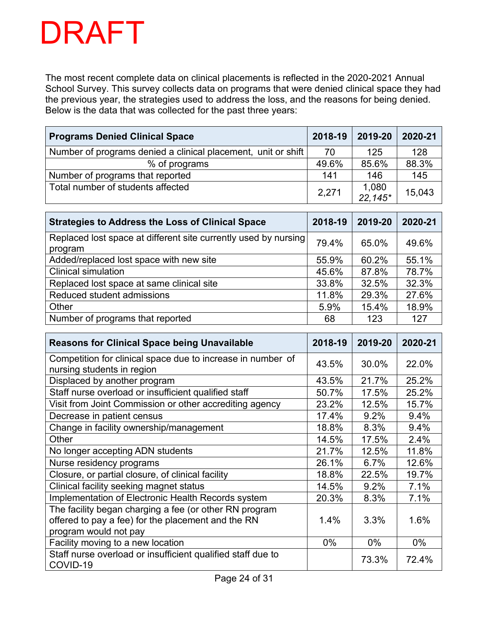The most recent complete data on clinical placements is reflected in the 2020-2021 Annual School Survey. This survey collects data on programs that were denied clinical space they had the previous year, the strategies used to address the loss, and the reasons for being denied. Below is the data that was collected for the past three years:

| <b>Programs Denied Clinical Space</b>                         | 2018-19 | 2019-20            | 2020-21 |
|---------------------------------------------------------------|---------|--------------------|---------|
| Number of programs denied a clinical placement, unit or shift | 70      | 125                | 128     |
| % of programs                                                 | 49.6%   | 85.6%              | 88.3%   |
| Number of programs that reported                              | 141     | 146                | 145     |
| Total number of students affected                             | 2,271   | $1,080$<br>22,145* | 15,043  |

| <b>Strategies to Address the Loss of Clinical Space</b>                    | 2018-19 | 2019-20 | 2020-21 |
|----------------------------------------------------------------------------|---------|---------|---------|
| Replaced lost space at different site currently used by nursing<br>program | 79.4%   | 65.0%   | 49.6%   |
| Added/replaced lost space with new site                                    | 55.9%   | 60.2%   | 55.1%   |
| <b>Clinical simulation</b>                                                 | 45.6%   | 87.8%   | 78.7%   |
| Replaced lost space at same clinical site                                  | 33.8%   | 32.5%   | 32.3%   |
| Reduced student admissions                                                 | 11.8%   | 29.3%   | 27.6%   |
| Other                                                                      | 5.9%    | 15.4%   | 18.9%   |
| Number of programs that reported                                           | 68      | 123     | 127     |

| <b>Reasons for Clinical Space being Unavailable</b>                                                                                   |       | 2019-20 | 2020-21 |
|---------------------------------------------------------------------------------------------------------------------------------------|-------|---------|---------|
| Competition for clinical space due to increase in number of<br>nursing students in region                                             | 43.5% | 30.0%   | 22.0%   |
| Displaced by another program                                                                                                          | 43.5% | 21.7%   | 25.2%   |
| Staff nurse overload or insufficient qualified staff                                                                                  | 50.7% | 17.5%   | 25.2%   |
| Visit from Joint Commission or other accrediting agency                                                                               | 23.2% | 12.5%   | 15.7%   |
| Decrease in patient census                                                                                                            | 17.4% | 9.2%    | 9.4%    |
| Change in facility ownership/management                                                                                               | 18.8% | 8.3%    | 9.4%    |
| Other                                                                                                                                 | 14.5% | 17.5%   | 2.4%    |
| No longer accepting ADN students                                                                                                      | 21.7% | 12.5%   | 11.8%   |
| Nurse residency programs                                                                                                              | 26.1% | 6.7%    | 12.6%   |
| Closure, or partial closure, of clinical facility                                                                                     | 18.8% | 22.5%   | 19.7%   |
| Clinical facility seeking magnet status                                                                                               | 14.5% | 9.2%    | 7.1%    |
| Implementation of Electronic Health Records system                                                                                    | 20.3% | 8.3%    | 7.1%    |
| The facility began charging a fee (or other RN program<br>offered to pay a fee) for the placement and the RN<br>program would not pay | 1.4%  | 3.3%    | 1.6%    |
| Facility moving to a new location                                                                                                     | $0\%$ | $0\%$   | $0\%$   |
| Staff nurse overload or insufficient qualified staff due to<br>COVID-19                                                               |       | 73.3%   | 72.4%   |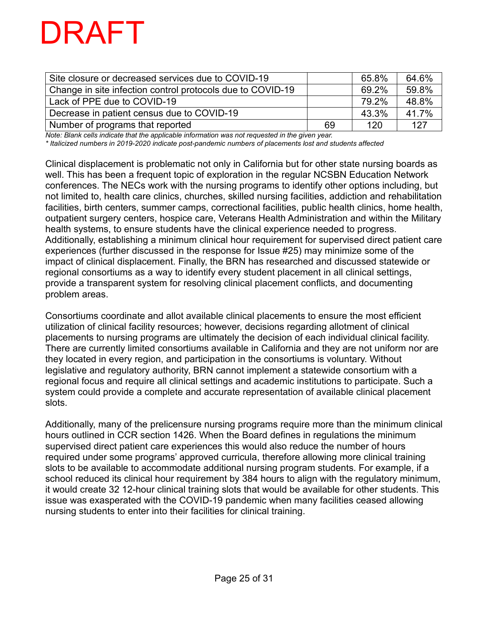| Site closure or decreased services due to COVID-19         |    | 65.8% | 64.6% |
|------------------------------------------------------------|----|-------|-------|
| Change in site infection control protocols due to COVID-19 |    | 69.2% | 59.8% |
| Lack of PPE due to COVID-19                                |    | 79.2% | 48.8% |
| Decrease in patient census due to COVID-19                 |    | 43.3% | 41.7% |
| Number of programs that reported                           | 69 | 120   | 127   |

*Note: Blank cells indicate that the applicable information was not requested in the given year.*

*\* Italicized numbers in 2019-2020 indicate post-pandemic numbers of placements lost and students affected*

Clinical displacement is problematic not only in California but for other state nursing boards as well. This has been a frequent topic of exploration in the regular NCSBN Education Network conferences. The NECs work with the nursing programs to identify other options including, but not limited to, health care clinics, churches, skilled nursing facilities, addiction and rehabilitation facilities, birth centers, summer camps, correctional facilities, public health clinics, home health, outpatient surgery centers, hospice care, Veterans Health Administration and within the Military health systems, to ensure students have the clinical experience needed to progress. Additionally, establishing a minimum clinical hour requirement for supervised direct patient care experiences (further discussed in the response for Issue #25) may minimize some of the impact of clinical displacement. Finally, the BRN has researched and discussed statewide or regional consortiums as a way to identify every student placement in all clinical settings, provide a transparent system for resolving clinical placement conflicts, and documenting problem areas.

Consortiums coordinate and allot available clinical placements to ensure the most efficient utilization of clinical facility resources; however, decisions regarding allotment of clinical placements to nursing programs are ultimately the decision of each individual clinical facility. There are currently limited consortiums available in California and they are not uniform nor are they located in every region, and participation in the consortiums is voluntary. Without legislative and regulatory authority, BRN cannot implement a statewide consortium with a regional focus and require all clinical settings and academic institutions to participate. Such a system could provide a complete and accurate representation of available clinical placement slots.

Additionally, many of the prelicensure nursing programs require more than the minimum clinical hours outlined in CCR section 1426. When the Board defines in regulations the minimum supervised direct patient care experiences this would also reduce the number of hours required under some programs' approved curricula, therefore allowing more clinical training slots to be available to accommodate additional nursing program students. For example, if a school reduced its clinical hour requirement by 384 hours to align with the regulatory minimum, it would create 32 12-hour clinical training slots that would be available for other students. This issue was exasperated with the COVID-19 pandemic when many facilities ceased allowing nursing students to enter into their facilities for clinical training.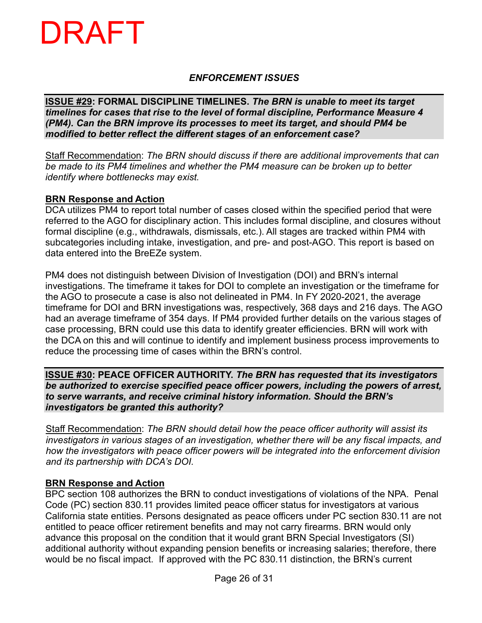### *ENFORCEMENT ISSUES*

**ISSUE #29: FORMAL DISCIPLINE TIMELINES.** *The BRN is unable to meet its target timelines for cases that rise to the level of formal discipline, Performance Measure 4 (PM4). Can the BRN improve its processes to meet its target, and should PM4 be modified to better reflect the different stages of an enforcement case?*

Staff Recommendation: *The BRN should discuss if there are additional improvements that can be made to its PM4 timelines and whether the PM4 measure can be broken up to better identify where bottlenecks may exist.* 

### **BRN Response and Action**

DCA utilizes PM4 to report total number of cases closed within the specified period that were referred to the AGO for disciplinary action. This includes formal discipline, and closures without formal discipline (e.g., withdrawals, dismissals, etc.). All stages are tracked within PM4 with subcategories including intake, investigation, and pre- and post-AGO. This report is based on data entered into the BreEZe system.

PM4 does not distinguish between Division of Investigation (DOI) and BRN's internal investigations. The timeframe it takes for DOI to complete an investigation or the timeframe for the AGO to prosecute a case is also not delineated in PM4. In FY 2020-2021, the average timeframe for DOI and BRN investigations was, respectively, 368 days and 216 days. The AGO had an average timeframe of 354 days. If PM4 provided further details on the various stages of case processing, BRN could use this data to identify greater efficiencies. BRN will work with the DCA on this and will continue to identify and implement business process improvements to reduce the processing time of cases within the BRN's control.

#### **ISSUE #30: PEACE OFFICER AUTHORITY.** *The BRN has requested that its investigators be authorized to exercise specified peace officer powers, including the powers of arrest, to serve warrants, and receive criminal history information. Should the BRN's investigators be granted this authority?*

Staff Recommendation: *The BRN should detail how the peace officer authority will assist its investigators in various stages of an investigation, whether there will be any fiscal impacts, and how the investigators with peace officer powers will be integrated into the enforcement division and its partnership with DCA's DOI.*

### **BRN Response and Action**

BPC section 108 authorizes the BRN to conduct investigations of violations of the NPA. Penal Code (PC) section 830.11 provides limited peace officer status for investigators at various California state entities. Persons designated as peace officers under PC section 830.11 are not entitled to peace officer retirement benefits and may not carry firearms. BRN would only advance this proposal on the condition that it would grant BRN Special Investigators (SI) additional authority without expanding pension benefits or increasing salaries; therefore, there would be no fiscal impact. If approved with the PC 830.11 distinction, the BRN's current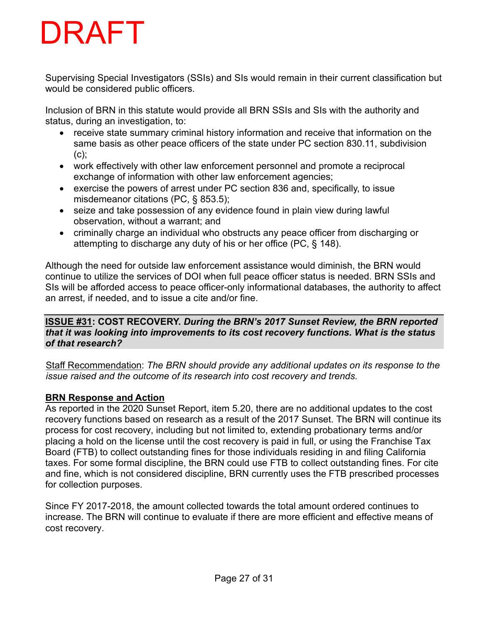Supervising Special Investigators (SSIs) and SIs would remain in their current classification but would be considered public officers.

Inclusion of BRN in this statute would provide all BRN SSIs and SIs with the authority and status, during an investigation, to:

- receive state summary criminal history information and receive that information on the same basis as other peace officers of the state under PC section 830.11, subdivision  $(c)$ ;
- work effectively with other law enforcement personnel and promote a reciprocal exchange of information with other law enforcement agencies;
- exercise the powers of arrest under PC section 836 and, specifically, to issue misdemeanor citations (PC, § 853.5);
- seize and take possession of any evidence found in plain view during lawful observation, without a warrant; and
- criminally charge an individual who obstructs any peace officer from discharging or attempting to discharge any duty of his or her office (PC, § 148).

Although the need for outside law enforcement assistance would diminish, the BRN would continue to utilize the services of DOI when full peace officer status is needed. BRN SSIs and SIs will be afforded access to peace officer-only informational databases, the authority to affect an arrest, if needed, and to issue a cite and/or fine.

#### **ISSUE #31: COST RECOVERY.** *During the BRN's 2017 Sunset Review, the BRN reported that it was looking into improvements to its cost recovery functions. What is the status of that research?*

Staff Recommendation: *The BRN should provide any additional updates on its response to the issue raised and the outcome of its research into cost recovery and trends.* 

### **BRN Response and Action**

As reported in the 2020 Sunset Report, item 5.20, there are no additional updates to the cost recovery functions based on research as a result of the 2017 Sunset. The BRN will continue its process for cost recovery, including but not limited to, extending probationary terms and/or placing a hold on the license until the cost recovery is paid in full, or using the Franchise Tax Board (FTB) to collect outstanding fines for those individuals residing in and filing California taxes. For some formal discipline, the BRN could use FTB to collect outstanding fines. For cite and fine, which is not considered discipline, BRN currently uses the FTB prescribed processes for collection purposes.

Since FY 2017-2018, the amount collected towards the total amount ordered continues to increase. The BRN will continue to evaluate if there are more efficient and effective means of cost recovery.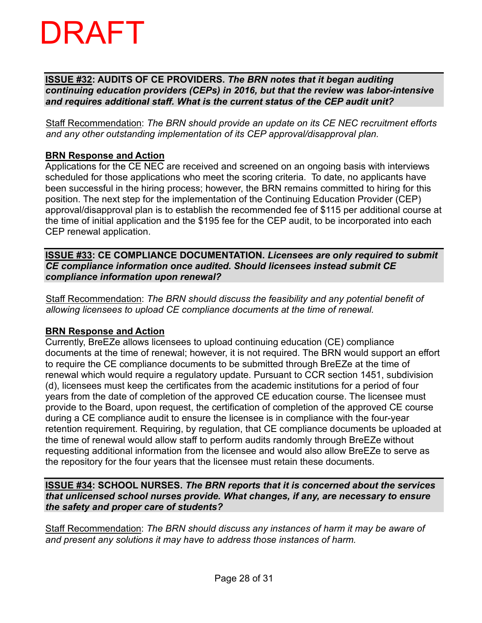#### **ISSUE #32: AUDITS OF CE PROVIDERS.** *The BRN notes that it began auditing continuing education providers (CEPs) in 2016, but that the review was labor-intensive and requires additional staff. What is the current status of the CEP audit unit?*

Staff Recommendation: *The BRN should provide an update on its CE NEC recruitment efforts and any other outstanding implementation of its CEP approval/disapproval plan.* 

### **BRN Response and Action**

Applications for the CE NEC are received and screened on an ongoing basis with interviews scheduled for those applications who meet the scoring criteria. To date, no applicants have been successful in the hiring process; however, the BRN remains committed to hiring for this position. The next step for the implementation of the Continuing Education Provider (CEP) approval/disapproval plan is to establish the recommended fee of \$115 per additional course at the time of initial application and the \$195 fee for the CEP audit, to be incorporated into each CEP renewal application.

**ISSUE #33: CE COMPLIANCE DOCUMENTATION.** *Licensees are only required to submit CE compliance information once audited. Should licensees instead submit CE compliance information upon renewal?*

Staff Recommendation: *The BRN should discuss the feasibility and any potential benefit of allowing licensees to upload CE compliance documents at the time of renewal.* 

### **BRN Response and Action**

Currently, BreEZe allows licensees to upload continuing education (CE) compliance documents at the time of renewal; however, it is not required. The BRN would support an effort to require the CE compliance documents to be submitted through BreEZe at the time of renewal which would require a regulatory update. Pursuant to CCR section 1451, subdivision (d), licensees must keep the certificates from the academic institutions for a period of four years from the date of completion of the approved CE education course. The licensee must provide to the Board, upon request, the certification of completion of the approved CE course during a CE compliance audit to ensure the licensee is in compliance with the four-year retention requirement. Requiring, by regulation, that CE compliance documents be uploaded at the time of renewal would allow staff to perform audits randomly through BreEZe without requesting additional information from the licensee and would also allow BreEZe to serve as the repository for the four years that the licensee must retain these documents.

#### **ISSUE #34: SCHOOL NURSES.** *The BRN reports that it is concerned about the services that unlicensed school nurses provide. What changes, if any, are necessary to ensure the safety and proper care of students?*

Staff Recommendation: *The BRN should discuss any instances of harm it may be aware of and present any solutions it may have to address those instances of harm.*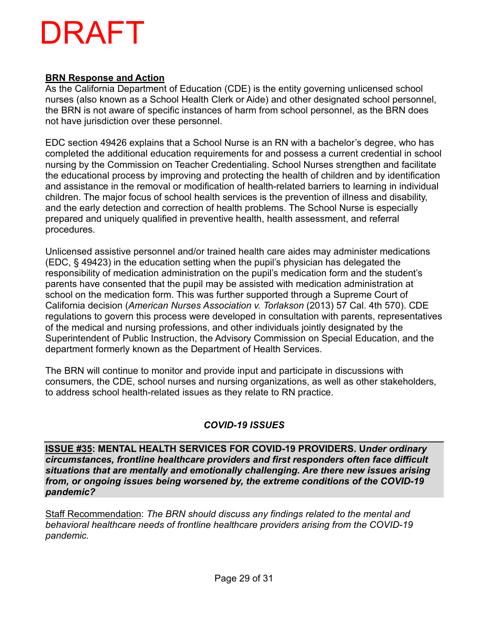### **BRN Response and Action**

As the California Department of Education (CDE) is the entity governing unlicensed school nurses (also known as a School Health Clerk or Aide) and other designated school personnel, the BRN is not aware of specific instances of harm from school personnel, as the BRN does not have jurisdiction over these personnel.

EDC section 49426 explains that a School Nurse is an RN with a bachelor's degree, who has completed the additional education requirements for and possess a current credential in school nursing by the Commission on Teacher Credentialing. School Nurses strengthen and facilitate the educational process by improving and protecting the health of children and by identification and assistance in the removal or modification of health-related barriers to learning in individual children. The major focus of school health services is the prevention of illness and disability, and the early detection and correction of health problems. The School Nurse is especially prepared and uniquely qualified in preventive health, health assessment, and referral procedures.

Unlicensed assistive personnel and/or trained health care aides may administer medications (EDC, § 49423) in the education setting when the pupil's physician has delegated the responsibility of medication administration on the pupil's medication form and the student's parents have consented that the pupil may be assisted with medication administration at school on the medication form. This was further supported through a Supreme Court of California decision (*American Nurses Association v. Torlakson* (2013) 57 Cal. 4th 570). CDE regulations to govern this process were developed in consultation with parents, representatives of the medical and nursing professions, and other individuals jointly designated by the Superintendent of Public Instruction, the Advisory Commission on Special Education, and the department formerly known as the Department of Health Services.

The BRN will continue to monitor and provide input and participate in discussions with consumers, the CDE, school nurses and nursing organizations, as well as other stakeholders, to address school health-related issues as they relate to RN practice.

### *COVID-19 ISSUES*

**ISSUE #35: MENTAL HEALTH SERVICES FOR COVID-19 PROVIDERS. U***nder ordinary circumstances, frontline healthcare providers and first responders often face difficult situations that are mentally and emotionally challenging. Are there new issues arising from, or ongoing issues being worsened by, the extreme conditions of the COVID-19 pandemic?*

Staff Recommendation: *The BRN should discuss any findings related to the mental and behavioral healthcare needs of frontline healthcare providers arising from the COVID-19 pandemic.*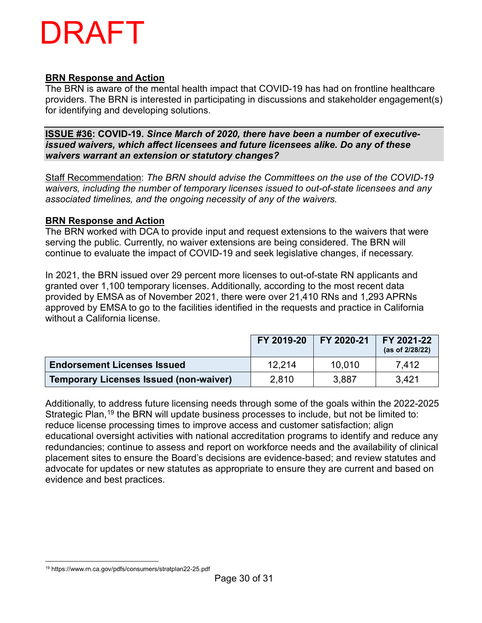#### **BRN Response and Action**

The BRN is aware of the mental health impact that COVID-19 has had on frontline healthcare providers. The BRN is interested in participating in discussions and stakeholder engagement(s) for identifying and developing solutions.

**ISSUE #36: COVID-19.** *Since March of 2020, there have been a number of executiveissued waivers, which affect licensees and future licensees alike. Do any of these waivers warrant an extension or statutory changes?*

Staff Recommendation: *The BRN should advise the Committees on the use of the COVID-19 waivers, including the number of temporary licenses issued to out-of-state licensees and any associated timelines, and the ongoing necessity of any of the waivers.*

#### **BRN Response and Action**

The BRN worked with DCA to provide input and request extensions to the waivers that were serving the public. Currently, no waiver extensions are being considered. The BRN will continue to evaluate the impact of COVID-19 and seek legislative changes, if necessary.

In 2021, the BRN issued over 29 percent more licenses to out-of-state RN applicants and granted over 1,100 temporary licenses. Additionally, according to the most recent data provided by EMSA as of November 2021, there were over 21,410 RNs and 1,293 APRNs approved by EMSA to go to the facilities identified in the requests and practice in California without a California license.

|                                               | FY 2019-20 | FY 2020-21 | FY 2021-22<br>(as of 2/28/22) |
|-----------------------------------------------|------------|------------|-------------------------------|
| <b>Endorsement Licenses Issued</b>            | 12.214     | 10.010     | 7.412                         |
| <b>Temporary Licenses Issued (non-waiver)</b> | 2,810      | 3,887      | 3.421                         |

Additionally, to address future licensing needs through some of the goals within the 2022-2025 Strategic Plan,<sup>[19](#page-29-0)</sup> the BRN will update business processes to include, but not be limited to: reduce license processing times to improve access and customer satisfaction; align educational oversight activities with national accreditation programs to identify and reduce any redundancies; continue to assess and report on workforce needs and the availability of clinical placement sites to ensure the Board's decisions are evidence-based; and review statutes and advocate for updates or new statutes as appropriate to ensure they are current and based on evidence and best practices.

<span id="page-29-0"></span><sup>19</sup> https://www.rn.ca.gov/pdfs/consumers/stratplan22-25.pdf